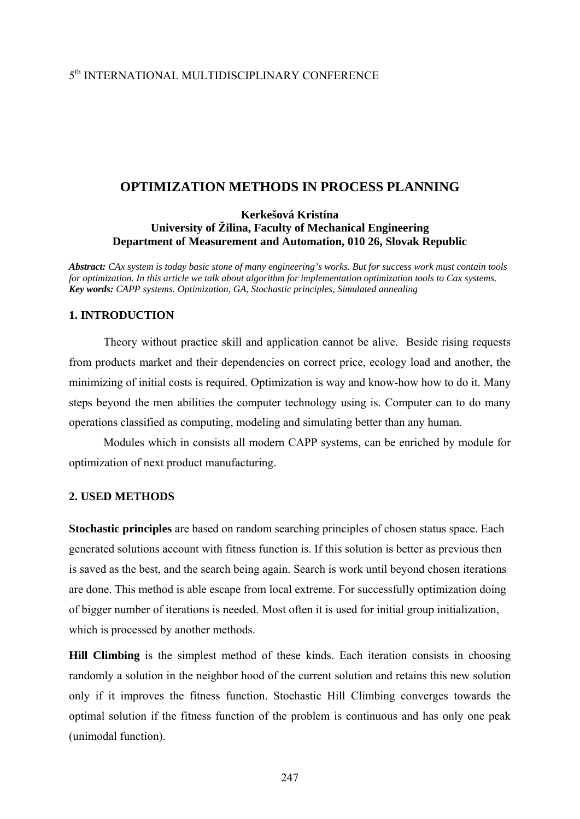# 5th INTERNATIONAL MULTIDISCIPLINARY CONFERENCE

## **OPTIMIZATION METHODS IN PROCESS PLANNING**

### **Kerkešová Kristína University of Žilina, Faculty of Mechanical Engineering Department of Measurement and Automation, 010 26, Slovak Republic**

*Abstract: CAx system is today basic stone of many engineering's works. But for success work must contain tools for optimization. In this article we talk about algorithm for implementation optimization tools to Cax systems. Key words: CAPP systems. Optimization, GA, Stochastic principles, Simulated annealing* 

## **1. INTRODUCTION**

 Theory without practice skill and application cannot be alive. Beside rising requests from products market and their dependencies on correct price, ecology load and another, the minimizing of initial costs is required. Optimization is way and know-how how to do it. Many steps beyond the men abilities the computer technology using is. Computer can to do many operations classified as computing, modeling and simulating better than any human.

 Modules which in consists all modern CAPP systems, can be enriched by module for optimization of next product manufacturing.

## **2. USED METHODS**

**Stochastic principles** are based on random searching principles of chosen status space. Each generated solutions account with fitness function is. If this solution is better as previous then is saved as the best, and the search being again. Search is work until beyond chosen iterations are done. This method is able escape from local extreme. For successfully optimization doing of bigger number of iterations is needed. Most often it is used for initial group initialization, which is processed by another methods.

**Hill Climbing** is the simplest method of these kinds. Each iteration consists in choosing randomly a solution in the neighbor hood of the current solution and retains this new solution only if it improves the fitness function. Stochastic Hill Climbing converges towards the optimal solution if the fitness function of the problem is continuous and has only one peak (unimodal function).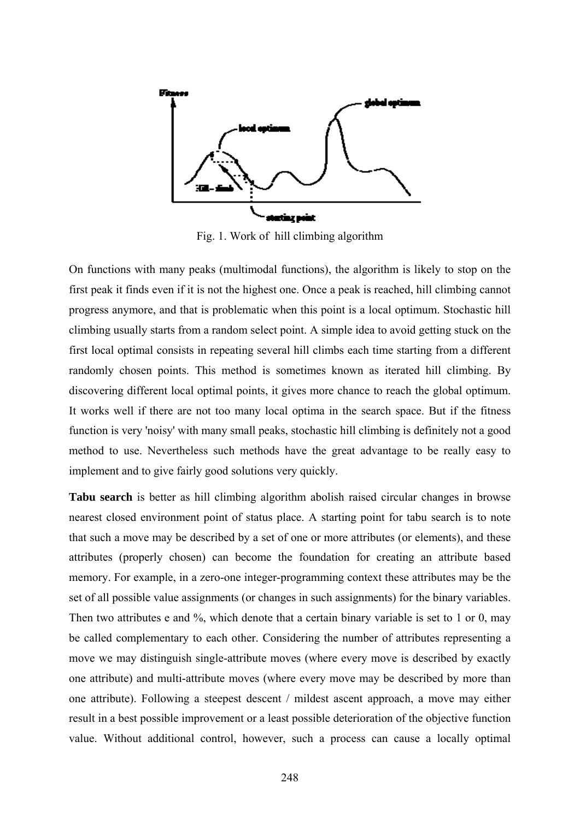

Fig. 1. Work of hill climbing algorithm

On functions with many peaks (multimodal functions), the algorithm is likely to stop on the first peak it finds even if it is not the highest one. Once a peak is reached, hill climbing cannot progress anymore, and that is problematic when this point is a local optimum. Stochastic hill climbing usually starts from a random select point. A simple idea to avoid getting stuck on the first local optimal consists in repeating several hill climbs each time starting from a different randomly chosen points. This method is sometimes known as iterated hill climbing. By discovering different local optimal points, it gives more chance to reach the global optimum. It works well if there are not too many local optima in the search space. But if the fitness function is very 'noisy' with many small peaks, stochastic hill climbing is definitely not a good method to use. Nevertheless such methods have the great advantage to be really easy to implement and to give fairly good solutions very quickly.

**Tabu search** is better as hill climbing algorithm abolish raised circular changes in browse nearest closed environment point of status place. A starting point for tabu search is to note that such a move may be described by a set of one or more attributes (or elements), and these attributes (properly chosen) can become the foundation for creating an attribute based memory. For example, in a zero-one integer-programming context these attributes may be the set of all possible value assignments (or changes in such assignments) for the binary variables. Then two attributes e and %, which denote that a certain binary variable is set to 1 or 0, may be called complementary to each other. Considering the number of attributes representing a move we may distinguish single-attribute moves (where every move is described by exactly one attribute) and multi-attribute moves (where every move may be described by more than one attribute). Following a steepest descent / mildest ascent approach, a move may either result in a best possible improvement or a least possible deterioration of the objective function value. Without additional control, however, such a process can cause a locally optimal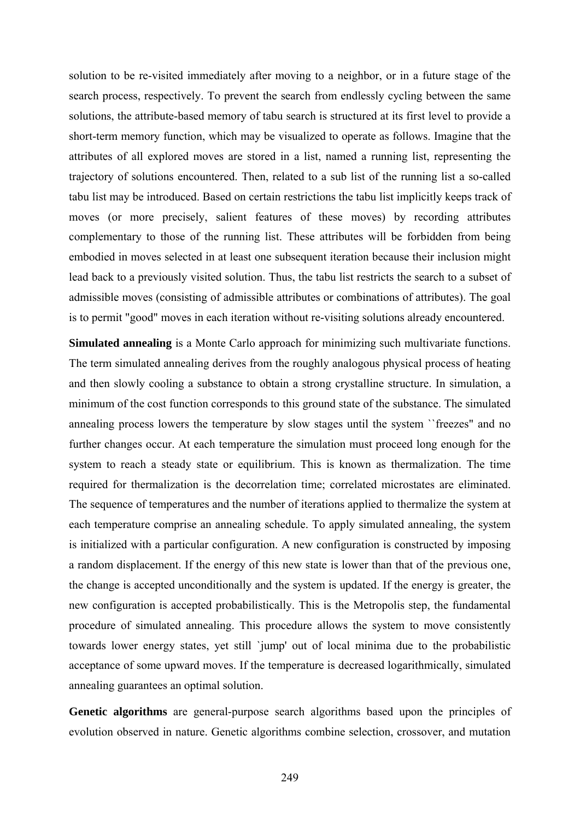solution to be re-visited immediately after moving to a neighbor, or in a future stage of the search process, respectively. To prevent the search from endlessly cycling between the same solutions, the attribute-based memory of tabu search is structured at its first level to provide a short-term memory function, which may be visualized to operate as follows. Imagine that the attributes of all explored moves are stored in a list, named a running list, representing the trajectory of solutions encountered. Then, related to a sub list of the running list a so-called tabu list may be introduced. Based on certain restrictions the tabu list implicitly keeps track of moves (or more precisely, salient features of these moves) by recording attributes complementary to those of the running list. These attributes will be forbidden from being embodied in moves selected in at least one subsequent iteration because their inclusion might lead back to a previously visited solution. Thus, the tabu list restricts the search to a subset of admissible moves (consisting of admissible attributes or combinations of attributes). The goal is to permit "good" moves in each iteration without re-visiting solutions already encountered.

**Simulated annealing** is a Monte Carlo approach for minimizing such multivariate functions. The term simulated annealing derives from the roughly analogous physical process of heating and then slowly cooling a substance to obtain a strong crystalline structure. In simulation, a minimum of the cost function corresponds to this ground state of the substance. The simulated annealing process lowers the temperature by slow stages until the system ``freezes" and no further changes occur. At each temperature the simulation must proceed long enough for the system to reach a steady state or equilibrium. This is known as thermalization. The time required for thermalization is the decorrelation time; correlated microstates are eliminated. The sequence of temperatures and the number of iterations applied to thermalize the system at each temperature comprise an annealing schedule. To apply simulated annealing, the system is initialized with a particular configuration. A new configuration is constructed by imposing a random displacement. If the energy of this new state is lower than that of the previous one, the change is accepted unconditionally and the system is updated. If the energy is greater, the new configuration is accepted probabilistically. This is the Metropolis step, the fundamental procedure of simulated annealing. This procedure allows the system to move consistently towards lower energy states, yet still `jump' out of local minima due to the probabilistic acceptance of some upward moves. If the temperature is decreased logarithmically, simulated annealing guarantees an optimal solution.

**Genetic algorithms** are general-purpose search algorithms based upon the principles of evolution observed in nature. Genetic algorithms combine selection, crossover, and mutation